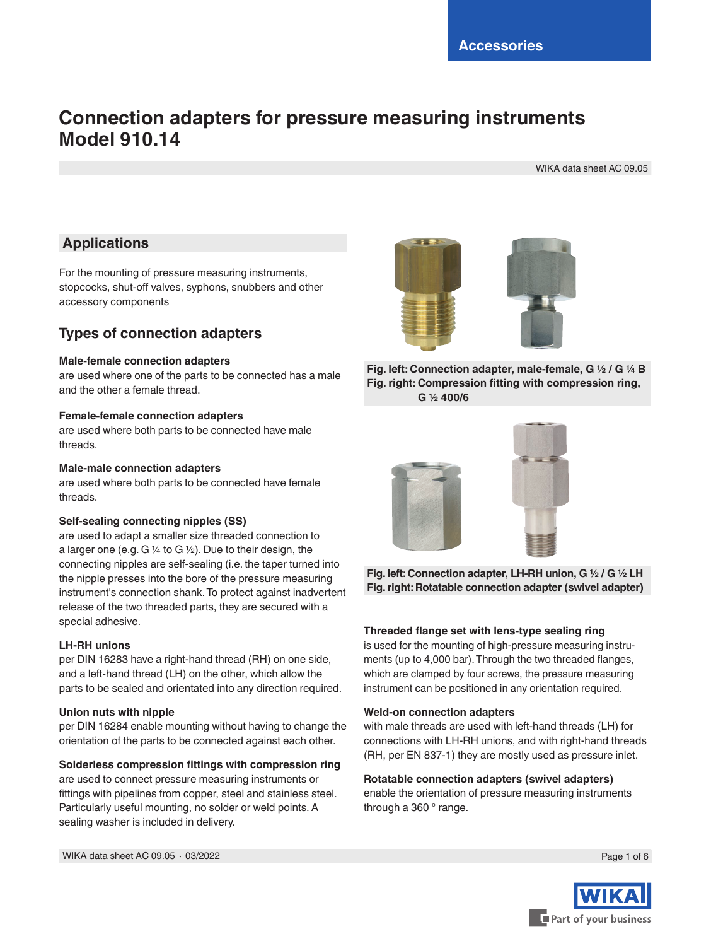# **Connection adapters for pressure measuring instruments Model 910.14**

WIKA data sheet AC 09.05

# **Applications**

For the mounting of pressure measuring instruments, stopcocks, shut-off valves, syphons, snubbers and other accessory components

# **Types of connection adapters**

## **Male-female connection adapters**

are used where one of the parts to be connected has a male and the other a female thread.

## **Female-female connection adapters**

are used where both parts to be connected have male threads.

## **Male-male connection adapters**

are used where both parts to be connected have female threads.

## **Self-sealing connecting nipples (SS)**

are used to adapt a smaller size threaded connection to a larger one (e.g. G ¼ to G ½). Due to their design, the connecting nipples are self-sealing (i.e. the taper turned into the nipple presses into the bore of the pressure measuring instrument's connection shank. To protect against inadvertent release of the two threaded parts, they are secured with a special adhesive.

## **LH-RH unions**

per DIN 16283 have a right-hand thread (RH) on one side, and a left-hand thread (LH) on the other, which allow the parts to be sealed and orientated into any direction required.

### **Union nuts with nipple**

per DIN 16284 enable mounting without having to change the orientation of the parts to be connected against each other.

## **Solderless compression fittings with compression ring**

are used to connect pressure measuring instruments or fittings with pipelines from copper, steel and stainless steel. Particularly useful mounting, no solder or weld points. A sealing washer is included in delivery.

WIKA data sheet AC 09.05 ∙ 03/2022





**Fig. left: Connection adapter, male-female, G ½ / G ¼ B Fig. right: Compression fitting with compression ring, G ½ 400/6**



**Fig. left: Connection adapter, LH-RH union, G ½ / G ½ LH Fig. right: Rotatable connection adapter (swivel adapter)**

## **Threaded flange set with lens-type sealing ring**

is used for the mounting of high-pressure measuring instruments (up to 4,000 bar). Through the two threaded flanges, which are clamped by four screws, the pressure measuring instrument can be positioned in any orientation required.

### **Weld-on connection adapters**

with male threads are used with left-hand threads (LH) for connections with LH-RH unions, and with right-hand threads (RH, per EN 837-1) they are mostly used as pressure inlet.

## **Rotatable connection adapters (swivel adapters)**

enable the orientation of pressure measuring instruments through a 360 ° range.

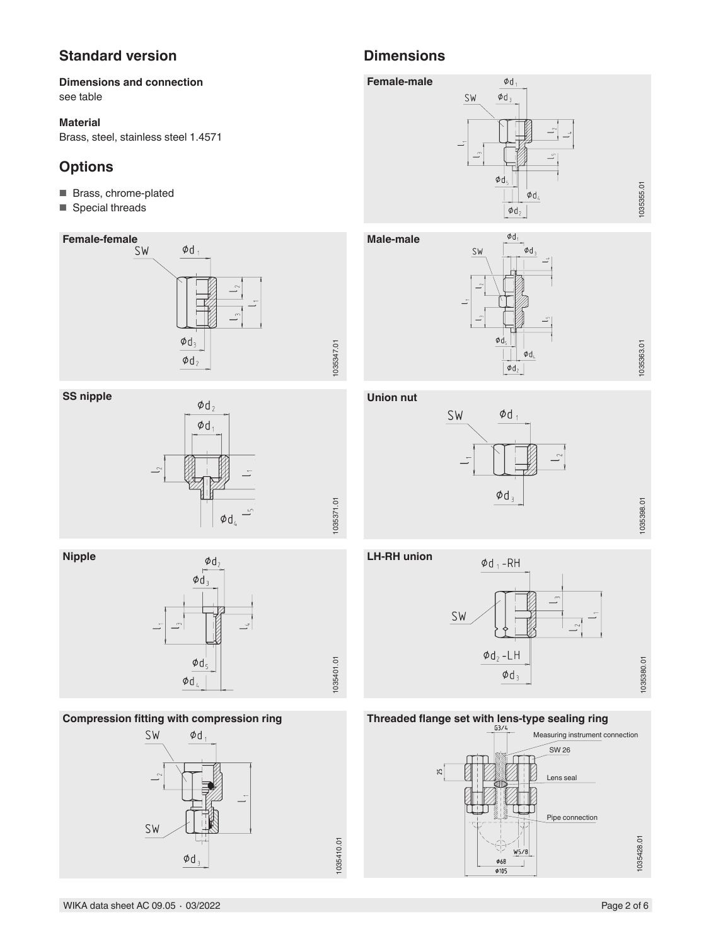# **Standard version Dimensions**

## **Dimensions and connection** see table

## **Material**

Brass, steel, stainless steel 1.4571

# **Options**

- Brass, chrome-plated
- Special threads



## **SS nipple**







## **Compression fitting with compression ring**









## **Union nut**





1035363.01 1035355.01

1035363.01

1035355.01

**LH-RH union**

1035371.01

1035371.01

1035410.01

1035410.01



# **Threaded flange set with lens-type sealing ring**

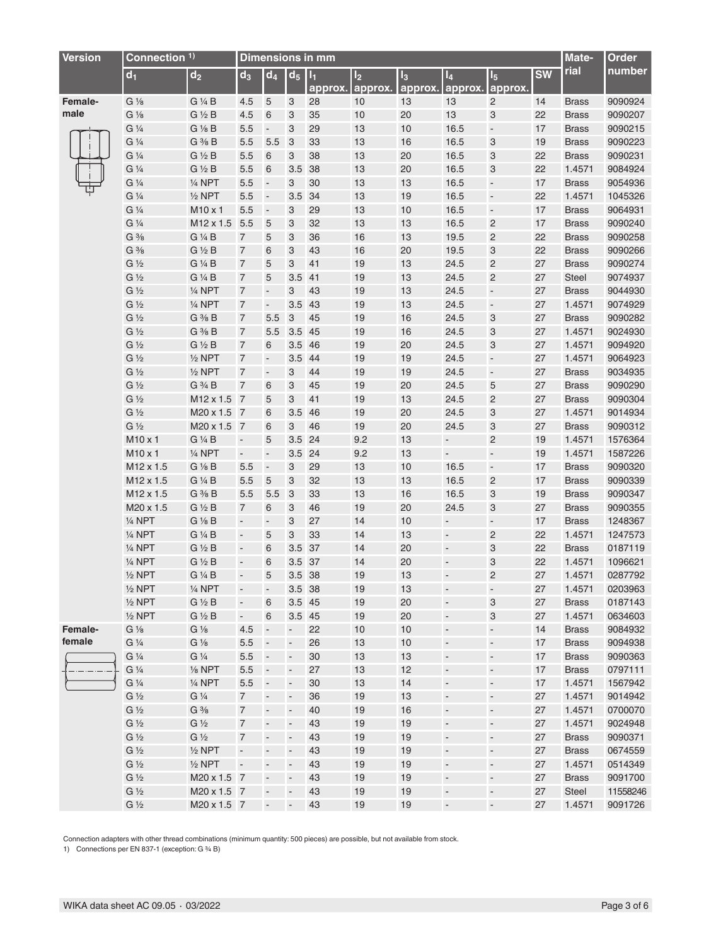| <b>Version</b> | Connection <sup>1)</sup> |                   | <b>Dimensions in mm</b>  |                              |                           |                    |                           |                  |                           |                           |           | Mate-        | Order    |
|----------------|--------------------------|-------------------|--------------------------|------------------------------|---------------------------|--------------------|---------------------------|------------------|---------------------------|---------------------------|-----------|--------------|----------|
|                | d <sub>1</sub>           | $\mathsf{d}_2$    | $d_3$                    | $\overline{d}_4$             | d <sub>5</sub>            | $ I_1 $<br>approx. | I <sub>2</sub><br>approx. | $I_3$<br>approx. | $\mathsf{I}_4$<br>approx. | $I_5$<br>approx.          | <b>SW</b> | rial         | number   |
| Female-        | $G\frac{1}{8}$           | G 1/4 B           | 4.5                      | 5                            | 3                         | 28                 | 10                        | 13               | 13                        | $\overline{\mathbf{c}}$   | 14        | <b>Brass</b> | 9090924  |
| male           | $G\frac{1}{8}$           | $G \nless  B$     | 4.5                      | 6                            | 3                         | 35                 | $10$                      | 20               | 13                        | 3                         | 22        | <b>Brass</b> | 9090207  |
|                | $G\frac{1}{4}$           | G 1/8 B           | $5.5\,$                  | $\blacksquare$               | 3                         | 29                 | 13                        | 10               | 16.5                      | $\overline{\phantom{a}}$  | 17        | <b>Brass</b> | 9090215  |
|                | $G\frac{1}{4}$           | $G \frac{3}{8} B$ | 5.5                      | 5.5                          | $\mathbf{3}$              | 33                 | 13                        | 16               | 16.5                      | $\ensuremath{\mathsf{3}}$ | 19        | <b>Brass</b> | 9090223  |
|                | $G\frac{1}{4}$           | $G \nless  B$     | $5.5\,$                  | $6\,$                        | 3                         | 38                 | 13                        | 20               | 16.5                      | $\ensuremath{\mathsf{3}}$ | 22        | <b>Brass</b> | 9090231  |
|                | $G\frac{1}{4}$           | $G \frac{1}{2} B$ | $5.5\,$                  | $6\phantom{1}6$              | 3.5                       | 38                 | 13                        | 20               | 16.5                      | 3                         | 22        | 1.4571       | 9084924  |
|                | $G\frac{1}{4}$           | $1/4$ NPT         | 5.5                      | $\blacksquare$               | 3                         | 30                 | 13                        | 13               | 16.5                      | $\blacksquare$            | 17        | <b>Brass</b> | 9054936  |
|                | $G\frac{1}{4}$           | $1/2$ NPT         | 5.5                      | ÷,                           | 3.5                       | 34                 | 13                        | 19               | 16.5                      | $\blacksquare$            | 22        | 1.4571       | 1045326  |
|                | $G\frac{1}{4}$           | M10 x 1           | 5.5                      | $\overline{\phantom{a}}$     | 3                         | 29                 | 13                        | 10               | 16.5                      | $\overline{\phantom{a}}$  | 17        | <b>Brass</b> | 9064931  |
|                | $G\frac{1}{4}$           | M12 x 1.5         | 5.5                      | 5                            | 3                         | 32                 | 13                        | 13               | 16.5                      | $\overline{c}$            | 17        | <b>Brass</b> | 9090240  |
|                | $G \frac{3}{8}$          | G 1/4 B           | 7                        | 5                            | 3                         | 36                 | 16                        | 13               | 19.5                      | $\overline{\mathbf{c}}$   | 22        | <b>Brass</b> | 9090258  |
|                | $G \frac{3}{8}$          | $G \frac{1}{2} B$ | $\overline{7}$           | 6                            | 3                         | 43                 | 16                        | 20               | 19.5                      | 3                         | 22        | <b>Brass</b> | 9090266  |
|                | $G\frac{1}{2}$           | G 1/4 B           | $\overline{7}$           | 5                            | 3                         | 41                 | 19                        | 13               | 24.5                      | $\overline{c}$            | 27        | <b>Brass</b> | 9090274  |
|                | $G\frac{1}{2}$           | G 1/4 B           | $\overline{7}$           | $\overline{5}$               | $3.5$ 41                  |                    | 19                        | 13               | 24.5                      | $\overline{c}$            | 27        | Steel        | 9074937  |
|                | $G\frac{1}{2}$           | 1/4 NPT           | $\overline{7}$           | $\Box$                       | 3                         | 43                 | 19                        | 13               | 24.5                      | $\blacksquare$            | 27        | <b>Brass</b> | 9044930  |
|                | $G\frac{1}{2}$           | $\frac{1}{4}$ NPT | 7                        | $\overline{\phantom{a}}$     | 3.5                       | 43                 | 19                        | 13               | 24.5                      | $\Box$                    | 27        | 1.4571       | 9074929  |
|                | $G\frac{1}{2}$           | $G \frac{3}{8} B$ | 7                        | 5.5                          | $\ensuremath{\mathsf{3}}$ | 45                 | 19                        | 16               | 24.5                      | 3                         | 27        | <b>Brass</b> | 9090282  |
|                | $G\frac{1}{2}$           | G % B             | 7                        | 5.5                          | 3.5 45                    |                    | 19                        | 16               | 24.5                      | $\ensuremath{\mathsf{3}}$ | 27        | 1.4571       | 9024930  |
|                | $G\frac{1}{2}$           | $G \frac{1}{2} B$ | $\overline{7}$           | 6                            | 3.5 46                    |                    | 19                        | 20               | 24.5                      | $\ensuremath{\mathsf{3}}$ | 27        | 1.4571       | 9094920  |
|                | $G\frac{1}{2}$           | $1/2$ NPT         | $\overline{7}$           | ÷                            | 3.5 44                    |                    | 19                        | 19               | 24.5                      | $\overline{\phantom{a}}$  | 27        | 1.4571       | 9064923  |
|                | $G\frac{1}{2}$           | $1/2$ NPT         | $\overline{7}$           | ÷                            | 3                         | 44                 | 19                        | 19               | 24.5                      | $\overline{\phantom{a}}$  | 27        | <b>Brass</b> | 9034935  |
|                | $G\frac{1}{2}$           | G 3/4 B           | 7                        | 6                            | 3                         | 45                 | 19                        | 20               | 24.5                      | 5                         | 27        | <b>Brass</b> | 9090290  |
|                | $G\frac{1}{2}$           | M12 x 1.5 7       |                          | 5                            | 3                         | 41                 | 19                        | 13               | 24.5                      | $\overline{c}$            | 27        | <b>Brass</b> | 9090304  |
|                | $G\frac{1}{2}$           | M20 x 1.5 7       |                          | 6                            | 3.5                       | 46                 | 19                        | 20               | 24.5                      | $\ensuremath{\mathsf{3}}$ | 27        | 1.4571       | 9014934  |
|                | $G\frac{1}{2}$           | M20 x 1.5 7       |                          | $\,6$                        | 3                         | 46                 | 19                        | 20               | 24.5                      | $\ensuremath{\mathsf{3}}$ | 27        | <b>Brass</b> | 9090312  |
|                | M10 x 1                  | G 1/4 B           | $\overline{\phantom{a}}$ | 5                            | 3.5                       | 24                 | 9.2                       | 13               | $\overline{\phantom{a}}$  | $\overline{c}$            | 19        | 1.4571       | 1576364  |
|                | M <sub>10</sub> x 1      | $1/4$ NPT         | $\Box$                   | $\overline{\phantom{a}}$     | 3.5 24                    |                    | 9.2                       | 13               | $\Box$                    | $\blacksquare$            | 19        | 1.4571       | 1587226  |
|                | M12 x 1.5                | $G\frac{1}{8}B$   | 5.5                      | $\overline{\phantom{a}}$     | 3                         | 29                 | 13                        | 10               | 16.5                      | $\blacksquare$            | 17        | <b>Brass</b> | 9090320  |
|                | M12 x 1.5                | G 1/4 B           | 5.5                      | 5                            | 3                         | 32                 | 13                        | 13               | 16.5                      | $\sqrt{2}$                | 17        | <b>Brass</b> | 9090339  |
|                | M12 x 1.5                | $G \frac{3}{8} B$ | 5.5                      | 5.5                          | 3                         | 33                 | 13                        | 16               | 16.5                      | 3                         | 19        | <b>Brass</b> | 9090347  |
|                | M20 x 1.5                | $G \frac{1}{2} B$ | $\overline{7}$           | 6                            | 3                         | 46                 | 19                        | 20               | 24.5                      | 3                         | 27        | <b>Brass</b> | 9090355  |
|                | 1/4 NPT                  | $G\frac{1}{8}B$   | $\blacksquare$           | ÷,                           | 3                         | 27                 | 14                        | $10$             | $\blacksquare$            | $\blacksquare$            | 17        | <b>Brass</b> | 1248367  |
|                | $\frac{1}{4}$ NPT        | G 1/4 B           | $\Box$                   | 5                            | 3                         | 33                 | 14                        | 13               | ÷,                        | $\overline{c}$            | 22        | 1.4571       | 1247573  |
|                | $\frac{1}{4}$ NPT        | $G \frac{1}{2} B$ | $\blacksquare$           | 6                            | 3.5                       | 37                 | 14                        | 20               | ÷,                        | 3                         | 22        | <b>Brass</b> | 0187119  |
|                | $\frac{1}{4}$ NPT        | $G \frac{1}{2} B$ | $\frac{1}{2}$            | 6                            | $3.5\,$                   | 37                 | 14                        | 20               | $\frac{1}{2}$             | 3                         | 22        | 1.4571       | 1096621  |
|                | $1/2$ NPT                | G 1/4 B           | $\blacksquare$           | 5                            | 3.5 38                    |                    | 19                        | 13               | $\blacksquare$            | $\overline{c}$            | 27        | 1.4571       | 0287792  |
|                | $1/2$ NPT                | 1/4 NPT           | -                        | $\qquad \qquad \blacksquare$ | 3.5 38                    |                    | 19                        | 13               | $\overline{\phantom{a}}$  | $\overline{\phantom{a}}$  | 27        | 1.4571       | 0203963  |
|                | $1/2$ NPT                | $G \nless  B$     | ÷,                       | 6                            | 3.5 45                    |                    | 19                        | 20               | ÷                         | $\ensuremath{\mathsf{3}}$ | 27        | <b>Brass</b> | 0187143  |
|                | $1/2$ NPT                | $G \frac{1}{2} B$ | $\blacksquare$           | 6                            | 3.5 45                    |                    | 19                        | $20\,$           | ÷,                        | $\ensuremath{\mathsf{3}}$ | 27        | 1.4571       | 0634603  |
| Female-        | $G\frac{1}{8}$           | $G\frac{1}{8}$    | 4.5                      | $\overline{\phantom{a}}$     | $\blacksquare$            | 22                 | 10                        | 10               | ÷                         | $\overline{\phantom{a}}$  | 14        | <b>Brass</b> | 9084932  |
| female         | $G\frac{1}{4}$           | $G\frac{1}{8}$    | $5.5\,$                  | $\overline{\phantom{a}}$     | $\blacksquare$            | 26                 | 13                        | $10$             | $\overline{\phantom{a}}$  | $\blacksquare$            | 17        | <b>Brass</b> | 9094938  |
|                | $G\frac{1}{4}$           | $G\frac{1}{4}$    | $5.5\,$                  | $\overline{\phantom{a}}$     | ÷                         | 30                 | 13                        | 13               | ÷                         | $\overline{\phantom{a}}$  | 17        | <b>Brass</b> | 9090363  |
|                | $G\frac{1}{4}$           | $1/8$ NPT         | 5.5                      | $\overline{\phantom{a}}$     | ÷                         | 27                 | 13                        | 12               | ÷                         | ÷                         | 17        | <b>Brass</b> | 0797111  |
|                | $G\frac{1}{4}$           | 1/4 NPT           | 5.5                      | $\overline{\phantom{a}}$     | ÷                         | 30                 | 13                        | 14               | ÷                         | $\overline{\phantom{a}}$  | 17        | 1.4571       | 1567942  |
|                | $G\frac{1}{2}$           | $G\frac{1}{4}$    | $\overline{7}$           | ÷                            | $\overline{\phantom{a}}$  | 36                 | 19                        | 13               | $\overline{\phantom{a}}$  | $\overline{\phantom{a}}$  | 27        | 1.4571       | 9014942  |
|                | $G\frac{1}{2}$           | $G \frac{3}{8}$   | 7                        | $\overline{\phantom{a}}$     | $\overline{\phantom{a}}$  | 40                 | 19                        | 16               | ÷,                        | $\overline{\phantom{a}}$  | 27        | 1.4571       | 0700070  |
|                | $G\frac{1}{2}$           | $G\frac{1}{2}$    | $\overline{7}$           | $\overline{\phantom{a}}$     | $\overline{\phantom{a}}$  | 43                 | 19                        | 19               | $\overline{\phantom{a}}$  | $\overline{\phantom{a}}$  | 27        | 1.4571       | 9024948  |
|                | $G\frac{1}{2}$           | $G\frac{1}{2}$    | $\overline{7}$           | $\overline{\phantom{a}}$     | $\overline{\phantom{a}}$  | 43                 | 19                        | 19               | $\overline{\phantom{a}}$  | $\overline{\phantom{a}}$  | 27        | <b>Brass</b> | 9090371  |
|                | $G\frac{1}{2}$           | $1/2$ NPT         | $\blacksquare$           | $\overline{\phantom{a}}$     | ÷,                        | 43                 | 19                        | 19               | $\overline{\phantom{a}}$  | $\overline{\phantom{a}}$  | 27        | <b>Brass</b> | 0674559  |
|                | $G\frac{1}{2}$           | $1/2$ NPT         | $\blacksquare$           | $\overline{\phantom{a}}$     | $\overline{\phantom{a}}$  | 43                 | 19                        | 19               | $\overline{\phantom{a}}$  | $\overline{\phantom{a}}$  | 27        | 1.4571       | 0514349  |
|                | $G\frac{1}{2}$           | M20 x 1.5 7       |                          | $\overline{\phantom{a}}$     | $\overline{\phantom{a}}$  | 43                 | 19                        | 19               | ÷                         | ÷                         | 27        | <b>Brass</b> | 9091700  |
|                | $G\frac{1}{2}$           | M20 x 1.5 7       |                          | $\overline{\phantom{a}}$     | $\overline{\phantom{a}}$  | 43                 | 19                        | 19               | ÷                         | $\overline{\phantom{a}}$  | 27        | <b>Steel</b> | 11558246 |
|                | $G\frac{1}{2}$           | M20 x 1.5 7       |                          | $\overline{\phantom{a}}$     | $\overline{\phantom{a}}$  | 43                 | 19                        | 19               | ÷                         | $\overline{\phantom{a}}$  | 27        | 1.4571       | 9091726  |
|                |                          |                   |                          |                              |                           |                    |                           |                  |                           |                           |           |              |          |

Connection adapters with other thread combinations (minimum quantity: 500 pieces) are possible, but not available from stock.

1) Connections per EN 837-1 (exception: G 34 B)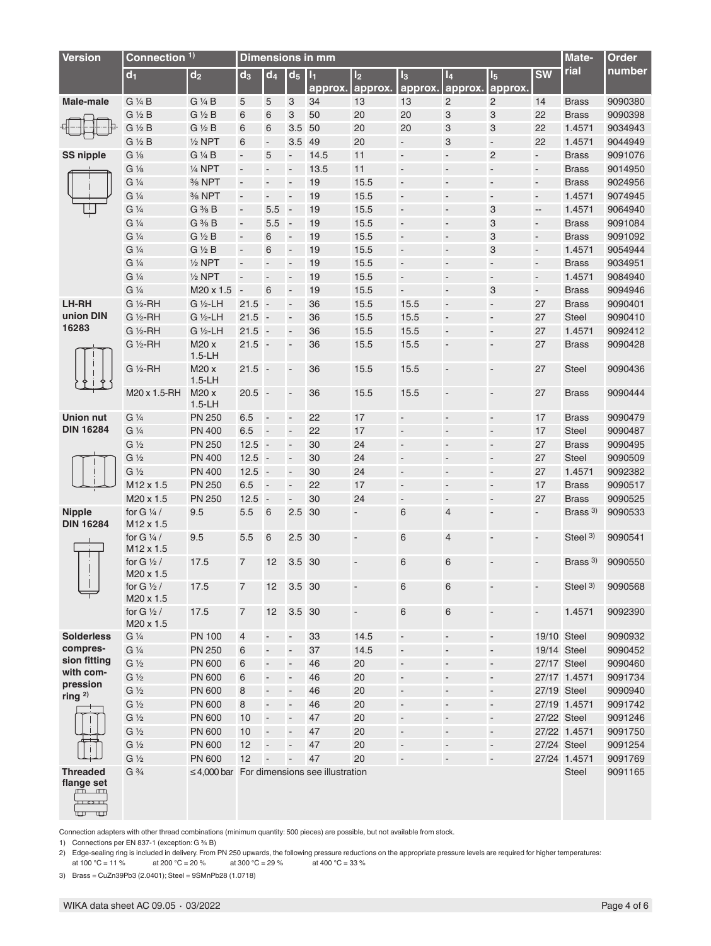| <b>Version</b>                                                                   | Connection <sup>1)</sup>                                  |                                                  | <b>Dimensions in mm</b>  |                            |                          |                           |                           |                                    |                                            |                              |                          |                               | Order              |
|----------------------------------------------------------------------------------|-----------------------------------------------------------|--------------------------------------------------|--------------------------|----------------------------|--------------------------|---------------------------|---------------------------|------------------------------------|--------------------------------------------|------------------------------|--------------------------|-------------------------------|--------------------|
|                                                                                  | $d_1$                                                     | $d_2$                                            | $d_3$                    | $d_4$                      | $d_5$                    | $\mathsf{H}_1$<br>approx. | I <sub>2</sub><br>approx. | $I_3$<br>approx.                   | $I_4$<br>approx.                           | $I_5$<br>approx.             | <b>SW</b>                | rial                          | number             |
| <b>Male-male</b>                                                                 | G 1/4 B                                                   | G 1/4 B                                          | 5                        | 5                          | 3                        | 34                        | 13                        | 13                                 | $\overline{2}$                             | $\overline{c}$               | 14                       | <b>Brass</b>                  | 9090380            |
|                                                                                  | $G \frac{1}{2} B$                                         | $G \frac{1}{2} B$                                | 6                        | 6                          | 3                        | 50                        | 20                        | 20                                 | 3                                          | 3                            | 22                       | <b>Brass</b>                  | 9090398            |
|                                                                                  | $G \frac{1}{2} B$                                         | $G \frac{1}{2} B$                                | 6                        | 6                          | 3.5                      | 50                        | 20                        | 20                                 | 3                                          | 3                            | 22                       | 1.4571                        | 9034943            |
|                                                                                  | $G \frac{1}{2} B$                                         | $1/2$ NPT                                        | 6                        | $\blacksquare$             | 3.5 49                   |                           | 20                        | $\blacksquare$                     | 3                                          | $\blacksquare$               | 22                       | 1.4571                        | 9044949            |
| <b>SS nipple</b>                                                                 | $G\frac{1}{8}$                                            | G 1/4 B                                          | $\Box$                   | 5                          | $\overline{\phantom{a}}$ | 14.5                      | 11                        | $\blacksquare$                     | $\blacksquare$                             | $\overline{c}$               | $\blacksquare$           | <b>Brass</b>                  | 9091076            |
|                                                                                  | $G\frac{1}{8}$                                            | $1/4$ NPT                                        | $\overline{\phantom{a}}$ | $\blacksquare$             | $\blacksquare$           | 13.5                      | 11                        | $\blacksquare$                     | $\overline{\phantom{a}}$                   | $\overline{\phantom{a}}$     | $\blacksquare$           | <b>Brass</b>                  | 9014950            |
|                                                                                  | $G\frac{1}{4}$                                            | % NPT                                            | $\Box$                   | $\Box$                     | $\overline{\phantom{a}}$ | 19                        | 15.5                      | $\blacksquare$                     | $\overline{a}$                             | $\blacksquare$               | $\blacksquare$           | <b>Brass</b>                  | 9024956            |
|                                                                                  | G 1/4                                                     | % NPT                                            | $\blacksquare$           | $\blacksquare$             | $\overline{a}$           | 19                        | 15.5                      | $\blacksquare$                     | $\frac{1}{2}$                              | $\blacksquare$               | $\blacksquare$           | 1.4571                        | 9074945            |
|                                                                                  | G <sup>1</sup> / <sub>4</sub>                             | $G \frac{3}{8} B$                                | $\Box$                   | 5.5                        | $\overline{\phantom{a}}$ | 19                        | 15.5                      | $\blacksquare$                     | $\frac{1}{2}$                              | 3                            | $\Box$                   | 1.4571                        | 9064940            |
|                                                                                  | $G\frac{1}{4}$                                            | $G \frac{3}{8} B$                                | $\Box$                   | 5.5                        | $\blacksquare$           | 19                        | 15.5                      | $\blacksquare$                     | $\overline{\phantom{a}}$                   | 3                            | $\blacksquare$           | <b>Brass</b>                  | 9091084            |
|                                                                                  | G <sup>1</sup> / <sub>4</sub>                             | $G \nless B$                                     | $\Box$                   | 6                          | $\overline{\phantom{a}}$ | 19                        | 15.5                      | $\blacksquare$                     | $\blacksquare$                             | 3                            | $\blacksquare$           | <b>Brass</b>                  | 9091092            |
|                                                                                  | G 1/4                                                     | $G \frac{1}{2} B$                                | $\overline{\phantom{a}}$ | 6                          | $\overline{a}$           | 19                        | 15.5                      | $\overline{\phantom{a}}$           | $\overline{\phantom{a}}$                   | 3                            | $\overline{\phantom{a}}$ | 1.4571                        | 9054944            |
|                                                                                  | G 1/4                                                     | $1/2$ NPT                                        | $\blacksquare$           | $\Box$                     | $\overline{a}$           | 19                        | 15.5                      | $\blacksquare$                     | $\blacksquare$                             | $\blacksquare$               | $\overline{\phantom{a}}$ | <b>Brass</b>                  | 9034951            |
|                                                                                  | G 1/4                                                     | $1/2$ NPT                                        | $\overline{\phantom{a}}$ | $\blacksquare$             | $\overline{a}$           | 19                        | 15.5                      | $\blacksquare$                     | $\overline{\phantom{a}}$                   | $\overline{\phantom{a}}$     | $\overline{\phantom{a}}$ | 1.4571                        | 9084940            |
|                                                                                  | $G\frac{1}{4}$                                            | M20 x 1.5                                        | $\overline{\phantom{a}}$ | 6                          | $\overline{\phantom{a}}$ | 19                        | 15.5                      | $\Box$                             | $\frac{1}{2}$                              | 3                            | $\Box$                   | <b>Brass</b>                  | 9094946            |
| LH-RH                                                                            | G 1/2-RH                                                  | G 1/2-LH                                         | 21.5                     | $\overline{\phantom{a}}$ . | $\overline{\phantom{a}}$ | 36                        | 15.5                      | 15.5                               | $\overline{\phantom{a}}$                   | $\blacksquare$               | 27                       | <b>Brass</b>                  | 9090401            |
| union DIN                                                                        | $G\frac{1}{2}$ -RH                                        | G 1/2-LH                                         | $21.5 -$                 |                            | $\overline{a}$           | 36                        | 15.5                      | 15.5                               | $\overline{\phantom{a}}$                   | $\overline{\phantom{a}}$     | 27                       | <b>Steel</b>                  | 9090410            |
| 16283                                                                            | $G\frac{1}{2}$ -RH                                        | G 1/2-LH                                         | $21.5 -$                 |                            | $\overline{a}$           | 36                        | 15.5                      | 15.5                               | $\blacksquare$                             | $\overline{\phantom{a}}$     | 27                       | 1.4571                        | 9092412            |
|                                                                                  | $G\frac{1}{2}$ -RH                                        | M20 x<br>$1.5-LH$                                | $21.5 -$                 |                            | $\overline{\phantom{a}}$ | 36                        | 15.5                      | 15.5                               | $\blacksquare$                             | $\blacksquare$               | 27                       | <b>Brass</b>                  | 9090428            |
|                                                                                  | G ½-RH                                                    | M20 x<br>$1.5-LH$                                | $21.5 -$                 |                            | $\overline{\phantom{a}}$ | 36                        | 15.5                      | 15.5                               | $\overline{\phantom{a}}$                   | $\blacksquare$               | 27                       | <b>Steel</b>                  | 9090436            |
|                                                                                  | M20 x 1.5-RH                                              | M20 x<br>$1.5-LH$                                | $20.5 -$                 |                            | $\overline{\phantom{a}}$ | 36                        | 15.5                      | 15.5                               | $\blacksquare$                             | $\qquad \qquad \blacksquare$ | 27                       | <b>Brass</b>                  | 9090444            |
| <b>Union nut</b>                                                                 | G <sup>1</sup> / <sub>4</sub>                             | <b>PN 250</b>                                    | 6.5                      | $\overline{\phantom{a}}$   | $\overline{a}$           | 22                        | 17                        | $\blacksquare$                     | $\blacksquare$                             | $\overline{\phantom{a}}$     | 17                       | <b>Brass</b>                  | 9090479            |
| <b>DIN 16284</b>                                                                 | G <sup>1</sup> / <sub>4</sub>                             | <b>PN 400</b>                                    | 6.5                      | $\blacksquare$             | $\overline{a}$           | 22                        | 17                        | $\blacksquare$                     | $\overline{\phantom{a}}$                   | $\blacksquare$               | 17                       | <b>Steel</b>                  | 9090487            |
|                                                                                  | $G\frac{1}{2}$                                            | <b>PN 250</b>                                    | $12.5 -$                 |                            | $\blacksquare$           | 30                        | 24                        | $\overline{\phantom{a}}$           | $\overline{\phantom{a}}$                   | $\overline{\phantom{a}}$     | 27                       | <b>Brass</b>                  | 9090495            |
|                                                                                  | $G\frac{1}{2}$                                            | <b>PN 400</b>                                    | $12.5 -$                 |                            | $\overline{a}$           | 30                        | 24                        | $\overline{\phantom{a}}$           | $\blacksquare$                             | $\overline{\phantom{a}}$     | 27                       | <b>Steel</b>                  | 9090509            |
|                                                                                  | $G\frac{1}{2}$                                            | <b>PN 400</b>                                    | $12.5 -$                 |                            | $\blacksquare$           | 30                        | 24                        | $\blacksquare$                     | $\overline{\phantom{a}}$                   | $\overline{\phantom{a}}$     | 27                       | 1.4571                        | 9092382            |
|                                                                                  | M12 x 1.5                                                 | <b>PN 250</b>                                    | 6.5                      | $\overline{\phantom{a}}$   | $\overline{a}$           | 22                        | 17                        | $\blacksquare$                     | $\blacksquare$                             | $\overline{\phantom{a}}$     | 17                       | <b>Brass</b>                  | 9090517            |
|                                                                                  | M20 x 1.5                                                 | <b>PN 250</b>                                    | $12.5 -$                 |                            | $\blacksquare$           | 30                        | 24                        | $\overline{\phantom{a}}$           | $\overline{\phantom{a}}$                   | $\overline{\phantom{a}}$     | 27                       | <b>Brass</b>                  | 9090525            |
| <b>Nipple</b><br><b>DIN 16284</b>                                                | for G $\frac{1}{4}$<br>M12 x 1.5                          | 9.5                                              | 5.5                      | 6                          | 2.5                      | 30                        | $\frac{1}{2}$             | 6                                  | $\overline{4}$                             | $\overline{\phantom{a}}$     | $\Box$                   | Brass $3$ )                   | 9090533            |
|                                                                                  | for G $\frac{1}{4}$ /<br>M12 x 1.5                        | 9.5                                              | 5.5                      | 6                          | 2.5 30                   |                           | $\blacksquare$            | 6                                  | $\overline{4}$                             | $\blacksquare$               | $\blacksquare$           | Steel <sup>3)</sup>           | 9090541            |
|                                                                                  | for G $\frac{1}{2}$ /<br>M20 x 1.5                        | 17.5                                             | $\overline{7}$           | 12                         | 3.5 30                   |                           | $\blacksquare$            | $6\phantom{1}6$                    | 6                                          |                              | $\blacksquare$           | Brass <sup>3)</sup>           | 9090550            |
|                                                                                  | for $G \frac{1}{2}$<br>M20 x 1.5<br>for G $\frac{1}{2}$ / | 17.5<br>17.5                                     | $\overline{7}$           | 12<br>12                   | 3.5 30<br>3.5 30         |                           | $\overline{\phantom{a}}$  | 6<br>6                             | 6<br>6                                     | $\qquad \qquad \blacksquare$ | $\overline{\phantom{a}}$ | Steel <sup>3)</sup><br>1.4571 | 9090568<br>9092390 |
| <b>Solderless</b>                                                                | M20 x 1.5<br>G <sup>1</sup> / <sub>4</sub>                | <b>PN 100</b>                                    |                          |                            | $\overline{\phantom{a}}$ | 33                        | 14.5                      |                                    |                                            |                              | 19/10 Steel              |                               | 9090932            |
| compres-                                                                         | G <sup>1</sup> / <sub>4</sub>                             | <b>PN 250</b>                                    | 4<br>6                   | $\overline{\phantom{a}}$   | $\overline{\phantom{a}}$ | 37                        | 14.5                      | $\overline{\phantom{a}}$<br>$\Box$ | $\overline{\phantom{a}}$<br>$\blacksquare$ | $\overline{\phantom{a}}$     | 19/14 Steel              |                               | 9090452            |
| sion fitting                                                                     | $G\frac{1}{2}$                                            | <b>PN 600</b>                                    | 6                        | $\overline{\phantom{a}}$   |                          |                           | 20                        |                                    |                                            | $\overline{\phantom{a}}$     |                          |                               |                    |
| with com-                                                                        |                                                           |                                                  |                          | $\overline{\phantom{a}}$   | $\blacksquare$           | 46                        |                           | $\blacksquare$                     | $\overline{\phantom{a}}$                   | $\overline{\phantom{a}}$     | 27/17 Steel              |                               | 9090460            |
| pression                                                                         | $G\frac{1}{2}$                                            | <b>PN 600</b>                                    | 6                        | $\overline{\phantom{a}}$   | $\overline{\phantom{a}}$ | 46                        | 20                        | $\overline{\phantom{a}}$           | ÷,                                         | $\overline{\phantom{a}}$     |                          | 27/17 1.4571                  | 9091734            |
| ring $2)$                                                                        | $G\frac{1}{2}$                                            | <b>PN 600</b>                                    | 8                        | $\qquad \qquad -$          | $\overline{\phantom{a}}$ | 46                        | 20                        | $\Box$                             | $\frac{1}{2}$                              | ÷,                           | 27/19 Steel              |                               | 9090940            |
|                                                                                  | $G\frac{1}{2}$                                            | <b>PN 600</b>                                    | 8                        | $\overline{\phantom{a}}$   | $\overline{a}$           | 46                        | 20                        | $\Box$                             | $\overline{\phantom{a}}$                   | $\overline{\phantom{a}}$     |                          | 27/19 1.4571                  | 9091742            |
|                                                                                  | $G\frac{1}{2}$                                            | <b>PN 600</b>                                    | 10                       | $\blacksquare$             | $\overline{a}$           | 47                        | 20                        | $\blacksquare$                     | $\blacksquare$                             | $\blacksquare$               | 27/22 Steel              |                               | 9091246            |
|                                                                                  | $G\frac{1}{2}$                                            | <b>PN 600</b>                                    | 10                       | $\overline{\phantom{a}}$   | $\overline{\phantom{a}}$ | 47                        | 20                        | $\blacksquare$                     | $\qquad \qquad \blacksquare$               | $\overline{\phantom{a}}$     |                          | 27/22 1.4571                  | 9091750            |
|                                                                                  | G <sub>1/2</sub>                                          | <b>PN 600</b>                                    | 12                       | ÷,                         | $\overline{a}$           | 47                        | 20                        | $\blacksquare$                     | $\overline{\phantom{a}}$                   | $\blacksquare$               | 27/24 Steel              |                               | 9091254            |
|                                                                                  | $G\frac{1}{2}$                                            | <b>PN 600</b>                                    | 12                       | $\overline{\phantom{a}}$   | $\overline{a}$           | 47                        | 20                        | $\overline{\phantom{a}}$           | $\overline{a}$                             | $\overline{\phantom{a}}$     |                          | 27/24 1.4571                  | 9091769            |
| <b>Threaded</b><br>flange set<br>ÆT.<br>$\Box$<br>$\Box$ $\Box$ $\Box$<br>ॼ<br>℡ | $G\frac{3}{4}$                                            | $\leq$ 4,000 bar For dimensions see illustration |                          |                            |                          |                           |                           |                                    |                                            |                              |                          | <b>Steel</b>                  | 9091165            |

Connection adapters with other thread combinations (minimum quantity: 500 pieces) are possible, but not available from stock.

1) Connections per EN 837-1 (exception: G % B)

2) Edge-sealing ring is included in delivery. From PN 250 upwards, the following pressure reductions on the appropriate pressure levels are required for higher temperatures:

at 100 °C = 11 % at 200 °C = 20 % at 300 °C = 29 % at 400 °C = 33 %

3) Brass = CuZn39Pb3 (2.0401); Steel = 9SMnPb28 (1.0718)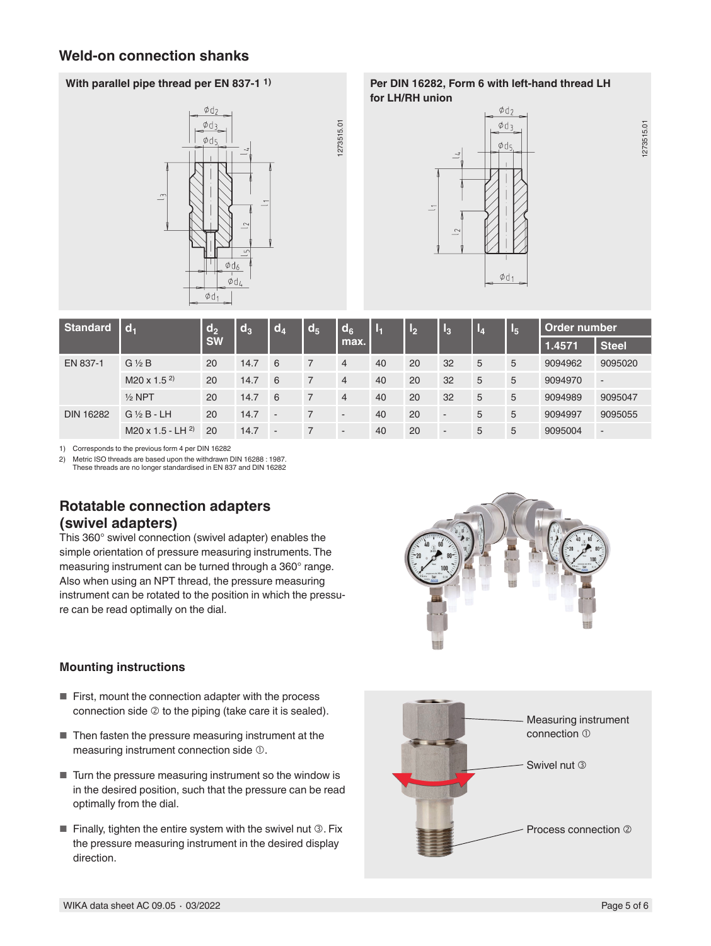# **Weld-on connection shanks**



**With parallel pipe thread per EN 837-1 1) Per DIN 16282, Form 6 with left-hand thread LH for LH/RH union**



273515.01 1273515.01

| <b>Standard</b>  | $ d_1$                 | $\mathsf{d}_2$<br><b>SW</b> | $d_3$ | $d_4$          | d <sub>5</sub> | $d_6$<br>max.            | $\mathbf{L}_1$ | $\mathbf{L}_2$ | l3                       | $I_4$ | <u>l</u> | Order number                                                        |                          |
|------------------|------------------------|-----------------------------|-------|----------------|----------------|--------------------------|----------------|----------------|--------------------------|-------|----------|---------------------------------------------------------------------|--------------------------|
|                  |                        |                             |       |                |                |                          |                |                |                          |       |          | 1.4571<br>9094962<br>9094970<br>$\overline{\phantom{a}}$<br>9094989 | <b>Steel</b>             |
| EN 837-1         | $G\frac{1}{2}B$        | 20                          | 14.7  | 6              | $\overline{7}$ | 4                        | 40             | 20             | 32                       | 5     | 5        |                                                                     | 9095020                  |
|                  | $M20 \times 1.5^{2}$   | 20                          | 14.7  | 6              | $\overline{7}$ | $\overline{4}$           | 40             | 20             | 32                       | 5     | 5        |                                                                     |                          |
|                  | $\frac{1}{2}$ NPT      | 20                          | 14.7  | 6              | $\overline{7}$ | $\overline{4}$           | 40             | 20             | 32                       | 5     | 5        |                                                                     | 9095047                  |
| <b>DIN 16282</b> | $G\frac{1}{2}B$ -LH    | 20                          | 14.7  | $\sim$         | $\overline{7}$ | $\overline{\phantom{a}}$ | 40             | 20             | $\overline{\phantom{a}}$ | 5     | 5        | 9094997                                                             | 9095055                  |
|                  | M20 x 1.5 - LH $^{2)}$ | 20                          | 14.7  | $\overline{a}$ |                | $\overline{\phantom{a}}$ | 40             | 20             | $\overline{\phantom{a}}$ | 5     | 5        | 9095004                                                             | $\overline{\phantom{a}}$ |

1273515.01

273515.01

1) Corresponds to the previous form 4 per DIN 16282

2) Metric ISO threads are based upon the withdrawn DIN 16288 : 1987. These threads are no longer standardised in EN 837 and DIN 16282

# **Rotatable connection adapters (swivel adapters)**

This 360° swivel connection (swivel adapter) enables the simple orientation of pressure measuring instruments. The measuring instrument can be turned through a 360° range. Also when using an NPT thread, the pressure measuring instrument can be rotated to the position in which the pressure can be read optimally on the dial.

## **Mounting instructions**

- First, mount the connection adapter with the process connection side  $\oslash$  to the piping (take care it is sealed).
- Then fasten the pressure measuring instrument at the measuring instrument connection side  $\mathbb O$ .
- Turn the pressure measuring instrument so the window is in the desired position, such that the pressure can be read optimally from the dial.
- $\blacksquare$  Finally, tighten the entire system with the swivel nut  $\mathcal{D}$ . Fix the pressure measuring instrument in the desired display direction.